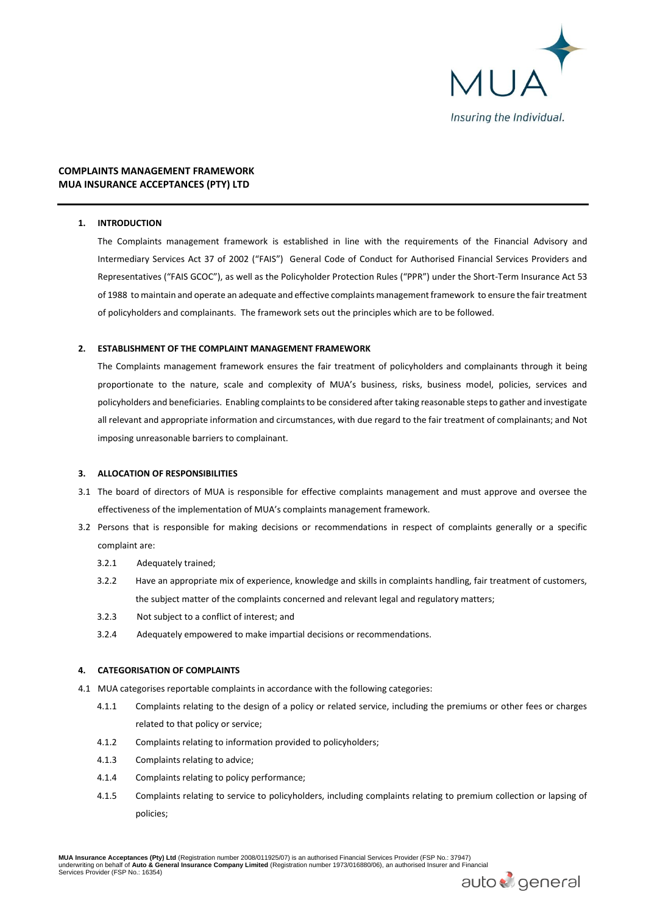

# **COMPLAINTS MANAGEMENT FRAMEWORK MUA INSURANCE ACCEPTANCES (PTY) LTD**

# **1. INTRODUCTION**

The Complaints management framework is established in line with the requirements of the Financial Advisory and Intermediary Services Act 37 of 2002 ("FAIS") General Code of Conduct for Authorised Financial Services Providers and Representatives ("FAIS GCOC"), as well as the Policyholder Protection Rules ("PPR") under the Short-Term Insurance Act 53 of 1988 to maintain and operate an adequate and effective complaints management framework to ensure the fair treatment of policyholders and complainants. The framework sets out the principles which are to be followed.

### **2. ESTABLISHMENT OF THE COMPLAINT MANAGEMENT FRAMEWORK**

The Complaints management framework ensures the fair treatment of policyholders and complainants through it being proportionate to the nature, scale and complexity of MUA's business, risks, business model, policies, services and policyholders and beneficiaries. Enabling complaints to be considered after taking reasonable steps to gather and investigate all relevant and appropriate information and circumstances, with due regard to the fair treatment of complainants; and Not imposing unreasonable barriers to complainant.

### **3. ALLOCATION OF RESPONSIBILITIES**

- 3.1 The board of directors of MUA is responsible for effective complaints management and must approve and oversee the effectiveness of the implementation of MUA's complaints management framework.
- 3.2 Persons that is responsible for making decisions or recommendations in respect of complaints generally or a specific complaint are:
	- 3.2.1 Adequately trained;
	- 3.2.2 Have an appropriate mix of experience, knowledge and skills in complaints handling, fair treatment of customers, the subject matter of the complaints concerned and relevant legal and regulatory matters;
	- 3.2.3 Not subject to a conflict of interest; and
	- 3.2.4 Adequately empowered to make impartial decisions or recommendations.

### **4. CATEGORISATION OF COMPLAINTS**

- 4.1 MUA categorises reportable complaints in accordance with the following categories:
	- 4.1.1 Complaints relating to the design of a policy or related service, including the premiums or other fees or charges related to that policy or service;
	- 4.1.2 Complaints relating to information provided to policyholders;
	- 4.1.3 Complaints relating to advice;
	- 4.1.4 Complaints relating to policy performance;
	- 4.1.5 Complaints relating to service to policyholders, including complaints relating to premium collection or lapsing of policies;

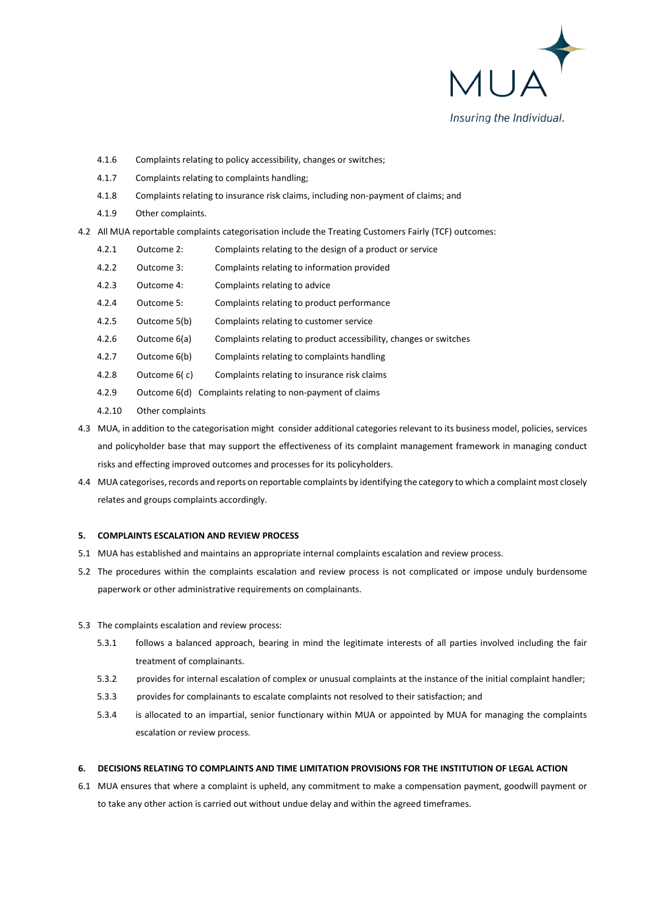

- 4.1.6 Complaints relating to policy accessibility, changes or switches;
- 4.1.7 Complaints relating to complaints handling;
- 4.1.8 Complaints relating to insurance risk claims, including non-payment of claims; and
- 4.1.9 Other complaints.
- 4.2 All MUA reportable complaints categorisation include the Treating Customers Fairly (TCF) outcomes:
	- 4.2.1 Outcome 2: Complaints relating to the design of a product or service
	- 4.2.2 Outcome 3: Complaints relating to information provided
	- 4.2.3 Outcome 4: Complaints relating to advice
	- 4.2.4 Outcome 5: Complaints relating to product performance
	- 4.2.5 Outcome 5(b) Complaints relating to customer service
	- 4.2.6 Outcome 6(a) Complaints relating to product accessibility, changes or switches
	- 4.2.7 Outcome 6(b) Complaints relating to complaints handling
	- 4.2.8 Outcome 6( c) Complaints relating to insurance risk claims
	- 4.2.9 Outcome 6(d) Complaints relating to non-payment of claims
	- 4.2.10 Other complaints
- 4.3 MUA, in addition to the categorisation might consider additional categories relevant to its business model, policies, services and policyholder base that may support the effectiveness of its complaint management framework in managing conduct risks and effecting improved outcomes and processes for its policyholders.
- 4.4 MUA categorises, records and reports on reportable complaints by identifying the category to which a complaint most closely relates and groups complaints accordingly.

### **5. COMPLAINTS ESCALATION AND REVIEW PROCESS**

- 5.1 MUA has established and maintains an appropriate internal complaints escalation and review process.
- 5.2 The procedures within the complaints escalation and review process is not complicated or impose unduly burdensome paperwork or other administrative requirements on complainants.
- 5.3 The complaints escalation and review process:
	- 5.3.1 follows a balanced approach, bearing in mind the legitimate interests of all parties involved including the fair treatment of complainants.
	- 5.3.2 provides for internal escalation of complex or unusual complaints at the instance of the initial complaint handler;
	- 5.3.3 provides for complainants to escalate complaints not resolved to their satisfaction; and
	- 5.3.4 is allocated to an impartial, senior functionary within MUA or appointed by MUA for managing the complaints escalation or review process.

# **6. DECISIONS RELATING TO COMPLAINTS AND TIME LIMITATION PROVISIONS FOR THE INSTITUTION OF LEGAL ACTION**

6.1 MUA ensures that where a complaint is upheld, any commitment to make a compensation payment, goodwill payment or to take any other action is carried out without undue delay and within the agreed timeframes.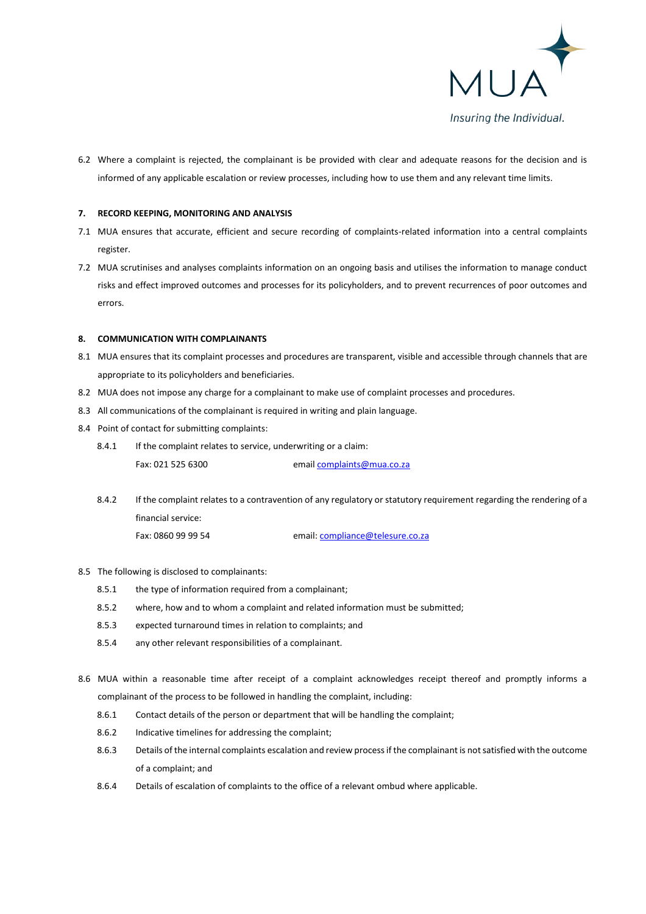

6.2 Where a complaint is rejected, the complainant is be provided with clear and adequate reasons for the decision and is informed of any applicable escalation or review processes, including how to use them and any relevant time limits.

### **7. RECORD KEEPING, MONITORING AND ANALYSIS**

- 7.1 MUA ensures that accurate, efficient and secure recording of complaints-related information into a central complaints register.
- 7.2 MUA scrutinises and analyses complaints information on an ongoing basis and utilises the information to manage conduct risks and effect improved outcomes and processes for its policyholders, and to prevent recurrences of poor outcomes and errors.

#### **8. COMMUNICATION WITH COMPLAINANTS**

- 8.1 MUA ensures that its complaint processes and procedures are transparent, visible and accessible through channels that are appropriate to its policyholders and beneficiaries.
- 8.2 MUA does not impose any charge for a complainant to make use of complaint processes and procedures.
- 8.3 All communications of the complainant is required in writing and plain language.
- 8.4 Point of contact for submitting complaints:
	- 8.4.1 If the complaint relates to service, underwriting or a claim: Fax: 021 525 6300 emai[l complaints@mua.co.z](mailto:complaints@mua.co)a
	- 8.4.2 If the complaint relates to a contravention of any regulatory or statutory requirement regarding the rendering of a financial service: Fax: 0860 99 99 54 email[: compliance@telesure.co.za](mailto:compliance@telesure.co.za)

#### 8.5 The following is disclosed to complainants:

- 8.5.1 the type of information required from a complainant;
- 8.5.2 where, how and to whom a complaint and related information must be submitted;
- 8.5.3 expected turnaround times in relation to complaints; and
- 8.5.4 any other relevant responsibilities of a complainant.
- 8.6 MUA within a reasonable time after receipt of a complaint acknowledges receipt thereof and promptly informs a complainant of the process to be followed in handling the complaint, including:
	- 8.6.1 Contact details of the person or department that will be handling the complaint;
	- 8.6.2 Indicative timelines for addressing the complaint;
	- 8.6.3 Details of the internal complaints escalation and review process if the complainant is not satisfied with the outcome of a complaint; and
	- 8.6.4 Details of escalation of complaints to the office of a relevant ombud where applicable.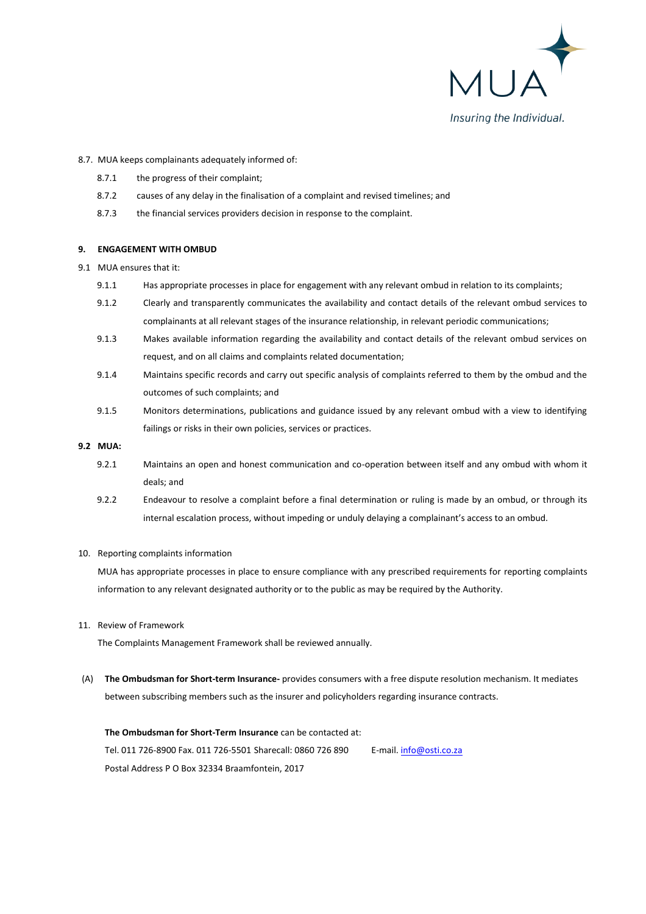

#### 8.7. MUA keeps complainants adequately informed of:

- 8.7.1 the progress of their complaint;
- 8.7.2 causes of any delay in the finalisation of a complaint and revised timelines; and
- 8.7.3 the financial services providers decision in response to the complaint.

#### **9. ENGAGEMENT WITH OMBUD**

9.1 MUA ensures that it:

- 9.1.1 Has appropriate processes in place for engagement with any relevant ombud in relation to its complaints;
- 9.1.2 Clearly and transparently communicates the availability and contact details of the relevant ombud services to complainants at all relevant stages of the insurance relationship, in relevant periodic communications;
- 9.1.3 Makes available information regarding the availability and contact details of the relevant ombud services on request, and on all claims and complaints related documentation;
- 9.1.4 Maintains specific records and carry out specific analysis of complaints referred to them by the ombud and the outcomes of such complaints; and
- 9.1.5 Monitors determinations, publications and guidance issued by any relevant ombud with a view to identifying failings or risks in their own policies, services or practices.

# **9.2 MUA:**

- 9.2.1 Maintains an open and honest communication and co-operation between itself and any ombud with whom it deals; and
- 9.2.2 Endeavour to resolve a complaint before a final determination or ruling is made by an ombud, or through its internal escalation process, without impeding or unduly delaying a complainant's access to an ombud.

#### 10. Reporting complaints information

MUA has appropriate processes in place to ensure compliance with any prescribed requirements for reporting complaints information to any relevant designated authority or to the public as may be required by the Authority.

#### 11. Review of Framework

The Complaints Management Framework shall be reviewed annually.

(A) **The Ombudsman for Short-term Insurance-** provides consumers with a free dispute resolution mechanism. It mediates between subscribing members such as the insurer and policyholders regarding insurance contracts.

# **The Ombudsman for Short-Term Insurance** can be contacted at: Tel. 011 726-8900 Fax. 011 726-5501 Sharecall: 0860 726 890 E-mail[. info@osti.co.za](mailto:info@osti.co.za) Postal Address P O Box 32334 Braamfontein, 2017